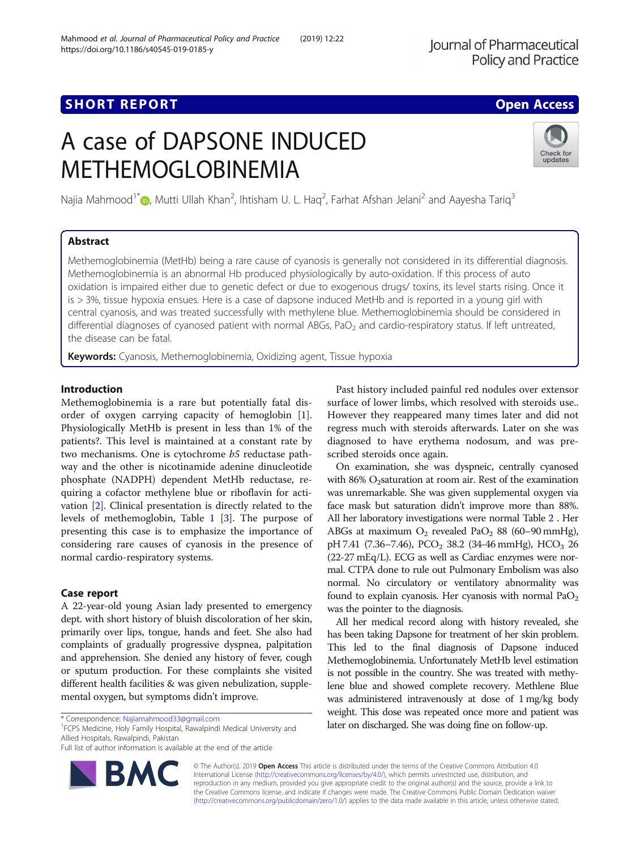Mahmood et al. Journal of Pharmaceutical Policy and Practice (2019) 12:22

## **SHORT REPORT CONTRACT CONTRACT CONTRACT CONTRACT CONTRACT CONTRACT CONTRACT CONTRACT CONTRACT CONTRACT CONTRACT CONTRACT CONTRACT CONTRACT CONTRACT CONTRACT CONTRACT CONTRACT CONTRACT CONTRACT CONTRACT CONTRACT CONTRACT C**

# A case of DAPSONE INDUCED METHEMOGLOBINEMIA



Najia Mahmood $1^*$  , Mutti Ullah Khan<sup>2</sup>, Ihtisham U. L. Haq<sup>2</sup>, Farhat Afshan Jelani<sup>2</sup> and Aayesha Tariq $^3$ 

## Abstract

Methemoglobinemia (MetHb) being a rare cause of cyanosis is generally not considered in its differential diagnosis. Methemoglobinemia is an abnormal Hb produced physiologically by auto-oxidation. If this process of auto oxidation is impaired either due to genetic defect or due to exogenous drugs/ toxins, its level starts rising. Once it is > 3%, tissue hypoxia ensues. Here is a case of dapsone induced MetHb and is reported in a young girl with central cyanosis, and was treated successfully with methylene blue. Methemoglobinemia should be considered in differential diagnoses of cyanosed patient with normal ABGs, PaO<sub>2</sub> and cardio-respiratory status. If left untreated, the disease can be fatal.

Keywords: Cyanosis, Methemoglobinemia, Oxidizing agent, Tissue hypoxia

## Introduction

Methemoglobinemia is a rare but potentially fatal disorder of oxygen carrying capacity of hemoglobin [\[1](#page-2-0)]. Physiologically MetHb is present in less than 1% of the patients?. This level is maintained at a constant rate by two mechanisms. One is cytochrome b5 reductase pathway and the other is nicotinamide adenine dinucleotide phosphate (NADPH) dependent MetHb reductase, requiring a cofactor methylene blue or riboflavin for activation [\[2](#page-2-0)]. Clinical presentation is directly related to the levels of methemoglobin, Table [1](#page-1-0) [\[3](#page-2-0)]. The purpose of presenting this case is to emphasize the importance of considering rare causes of cyanosis in the presence of normal cardio-respiratory systems.

## Case report

A 22-year-old young Asian lady presented to emergency dept. with short history of bluish discoloration of her skin, primarily over lips, tongue, hands and feet. She also had complaints of gradually progressive dyspnea, palpitation and apprehension. She denied any history of fever, cough or sputum production. For these complaints she visited different health facilities & was given nebulization, supplemental oxygen, but symptoms didn't improve.

<sup>1</sup>FCPS Medicine, Holy Family Hospital, Rawalpindi Medical University and Allied Hospitals, Rawalpindi, Pakistan

Full list of author information is available at the end of the article



Past history included painful red nodules over extensor surface of lower limbs, which resolved with steroids use.. However they reappeared many times later and did not regress much with steroids afterwards. Later on she was diagnosed to have erythema nodosum, and was prescribed steroids once again.

On examination, she was dyspneic, centrally cyanosed with 86%  $O_2$ saturation at room air. Rest of the examination was unremarkable. She was given supplemental oxygen via face mask but saturation didn't improve more than 88%. All her laboratory investigations were normal Table [2](#page-1-0) . Her ABGs at maximum  $O_2$  revealed Pa $O_2$  88 (60–90 mmHg), pH 7.41 (7.36-7.46), PCO<sub>2</sub> 38.2 (34-46 mmHg), HCO<sub>3</sub> 26 (22-27 mEq/L). ECG as well as Cardiac enzymes were normal. CTPA done to rule out Pulmonary Embolism was also normal. No circulatory or ventilatory abnormality was found to explain cyanosis. Her cyanosis with normal  $PaO<sub>2</sub>$ was the pointer to the diagnosis.

All her medical record along with history revealed, she has been taking Dapsone for treatment of her skin problem. This led to the final diagnosis of Dapsone induced Methemoglobinemia. Unfortunately MetHb level estimation is not possible in the country. She was treated with methylene blue and showed complete recovery. Methlene Blue was administered intravenously at dose of 1 mg/kg body weight. This dose was repeated once more and patient was later on discharged. She was doing fine on follow-up.

© The Author(s). 2019 Open Access This article is distributed under the terms of the Creative Commons Attribution 4.0 International License [\(http://creativecommons.org/licenses/by/4.0/](http://creativecommons.org/licenses/by/4.0/)), which permits unrestricted use, distribution, and reproduction in any medium, provided you give appropriate credit to the original author(s) and the source, provide a link to the Creative Commons license, and indicate if changes were made. The Creative Commons Public Domain Dedication waiver [\(http://creativecommons.org/publicdomain/zero/1.0/](http://creativecommons.org/publicdomain/zero/1.0/)) applies to the data made available in this article, unless otherwise stated.

<sup>\*</sup> Correspondence: [Najiamahmood33@gmail.com](mailto:Najiamahmood33@gmail.com) <sup>1</sup>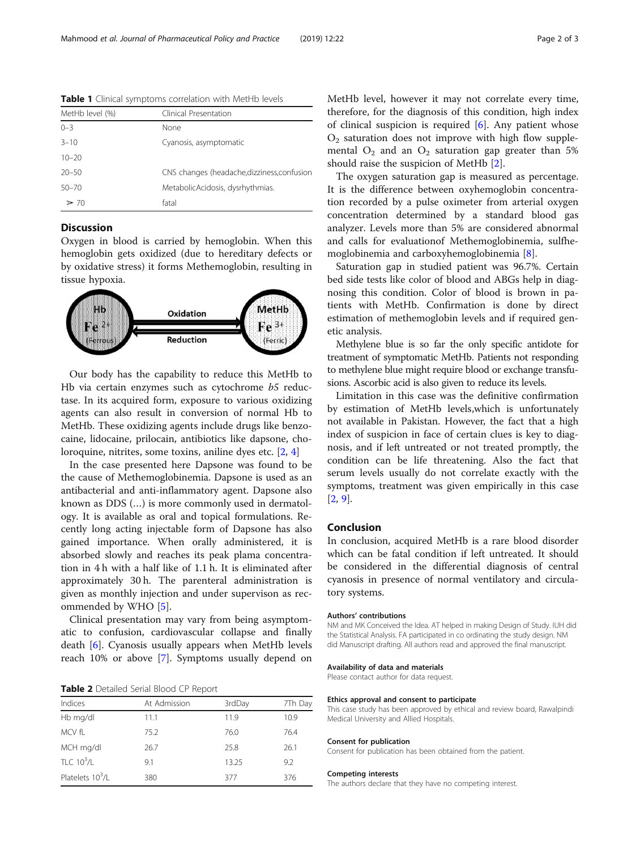| MetHb level (%) | Clinical Presentation                       |  |
|-----------------|---------------------------------------------|--|
| $0 - 3$         | None                                        |  |
| $3 - 10$        | Cyanosis, asymptomatic                      |  |
| $10 - 20$       |                                             |  |
| $20 - 50$       | CNS changes (headache, dizziness, confusion |  |
| $50 - 70$       | MetabolicAcidosis, dysrhythmias.            |  |
| $\geq 70$       | fatal                                       |  |

<span id="page-1-0"></span>Table 1 Clinical symptoms correlation with MetHb levels

## **Discussion**

Oxygen in blood is carried by hemoglobin. When this hemoglobin gets oxidized (due to hereditary defects or by oxidative stress) it forms Methemoglobin, resulting in tissue hypoxia.



Our body has the capability to reduce this MetHb to Hb via certain enzymes such as cytochrome b5 reductase. In its acquired form, exposure to various oxidizing agents can also result in conversion of normal Hb to MetHb. These oxidizing agents include drugs like benzocaine, lidocaine, prilocain, antibiotics like dapsone, choloroquine, nitrites, some toxins, aniline dyes etc. [[2,](#page-2-0) [4\]](#page-2-0)

In the case presented here Dapsone was found to be the cause of Methemoglobinemia. Dapsone is used as an antibacterial and anti-inflammatory agent. Dapsone also known as DDS (…) is more commonly used in dermatology. It is available as oral and topical formulations. Recently long acting injectable form of Dapsone has also gained importance. When orally administered, it is absorbed slowly and reaches its peak plama concentration in 4 h with a half like of 1.1 h. It is eliminated after approximately 30 h. The parenteral administration is given as monthly injection and under supervison as recommended by WHO [\[5](#page-2-0)].

Clinical presentation may vary from being asymptomatic to confusion, cardiovascular collapse and finally death [\[6](#page-2-0)]. Cyanosis usually appears when MetHb levels reach 10% or above [[7\]](#page-2-0). Symptoms usually depend on

Table 2 Detailed Serial Blood CP Report

| Indices                      | At Admission | 3rdDay | 7Th Day |
|------------------------------|--------------|--------|---------|
| Hb mg/dl                     | 11.1         | 11.9   | 10.9    |
| MCV fL                       | 75.2         | 76.0   | 76.4    |
| MCH mg/dl                    | 26.7         | 25.8   | 26.1    |
| TLC $10^3$ /L                | 9.1          | 13.25  | 9.2     |
| Platelets 10 <sup>3</sup> /L | 380          | 377    | 376     |

MetHb level, however it may not correlate every time, therefore, for the diagnosis of this condition, high index of clinical suspicion is required  $[6]$  $[6]$ . Any patient whose  $O<sub>2</sub>$  saturation does not improve with high flow supplemental  $O_2$  and an  $O_2$  saturation gap greater than 5% should raise the suspicion of MetHb [[2\]](#page-2-0).

The oxygen saturation gap is measured as percentage. It is the difference between oxyhemoglobin concentration recorded by a pulse oximeter from arterial oxygen concentration determined by a standard blood gas analyzer. Levels more than 5% are considered abnormal and calls for evaluationof Methemoglobinemia, sulfhemoglobinemia and carboxyhemoglobinemia [[8\]](#page-2-0).

Saturation gap in studied patient was 96.7%. Certain bed side tests like color of blood and ABGs help in diagnosing this condition. Color of blood is brown in patients with MetHb. Confirmation is done by direct estimation of methemoglobin levels and if required genetic analysis.

Methylene blue is so far the only specific antidote for treatment of symptomatic MetHb. Patients not responding to methylene blue might require blood or exchange transfusions. Ascorbic acid is also given to reduce its levels.

Limitation in this case was the definitive confirmation by estimation of MetHb levels,which is unfortunately not available in Pakistan. However, the fact that a high index of suspicion in face of certain clues is key to diagnosis, and if left untreated or not treated promptly, the condition can be life threatening. Also the fact that serum levels usually do not correlate exactly with the symptoms, treatment was given empirically in this case [[2,](#page-2-0) [9\]](#page-2-0).

### Conclusion

In conclusion, acquired MetHb is a rare blood disorder which can be fatal condition if left untreated. It should be considered in the differential diagnosis of central cyanosis in presence of normal ventilatory and circulatory systems.

#### Authors' contributions

NM and MK Conceived the Idea. AT helped in making Design of Study. IUH did the Statistical Analysis. FA participated in co ordinating the study design. NM did Manuscript drafting. All authors read and approved the final manuscript.

#### Availability of data and materials

Please contact author for data request.

#### Ethics approval and consent to participate

This case study has been approved by ethical and review board, Rawalpindi Medical University and Allied Hospitals.

#### Consent for publication

Consent for publication has been obtained from the patient.

#### Competing interests

The authors declare that they have no competing interest.